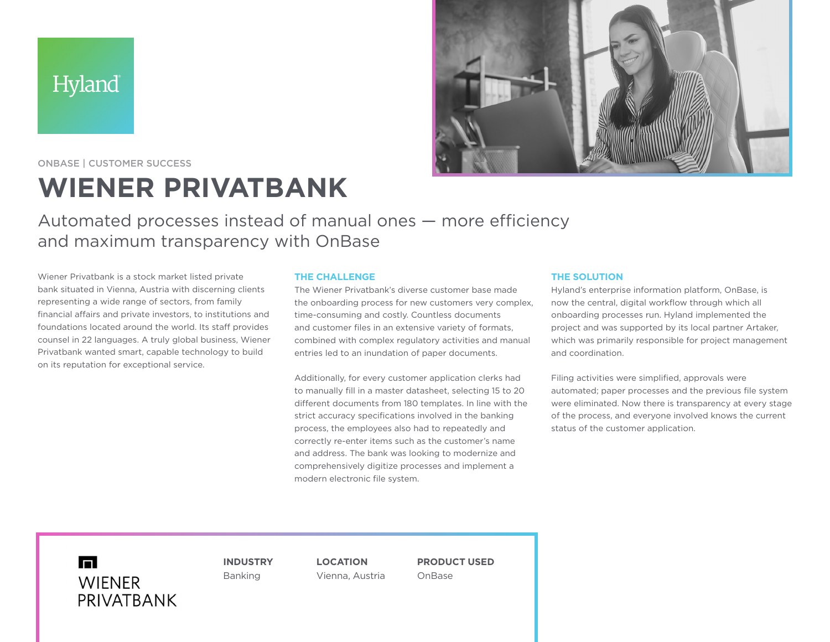Hyland®



ONBASE | CUSTOMER SUCCESS

# **WIENER PRIVATBANK**

Automated processes instead of manual ones — more efficiency and maximum transparency with OnBase

Wiener Privatbank is a stock market listed private bank situated in Vienna, Austria with discerning clients representing a wide range of sectors, from family financial affairs and private investors, to institutions and foundations located around the world. Its staff provides counsel in 22 languages. A truly global business, Wiener Privatbank wanted smart, capable technology to build on its reputation for exceptional service.

# **THE CHALLENGE**

The Wiener Privatbank's diverse customer base made the onboarding process for new customers very complex, time-consuming and costly. Countless documents and customer files in an extensive variety of formats, combined with complex regulatory activities and manual entries led to an inundation of paper documents.

Additionally, for every customer application clerks had to manually fill in a master datasheet, selecting 15 to 20 different documents from 180 templates. In line with the strict accuracy specifications involved in the banking process, the employees also had to repeatedly and correctly re-enter items such as the customer's name and address. The bank was looking to modernize and comprehensively digitize processes and implement a modern electronic file system.

## **THE SOLUTION**

Hyland's enterprise information platform, OnBase, is now the central, digital workflow through which all onboarding processes run. Hyland implemented the project and was supported by its local partner Artaker, which was primarily responsible for project management and coordination.

Filing activities were simplified, approvals were automated; paper processes and the previous file system were eliminated. Now there is transparency at every stage of the process, and everyone involved knows the current status of the customer application.

 $\blacksquare$ **WIENER** PRIVATBANK **INDUSTRY** Banking

**LOCATION** Vienna, Austria **PRODUCT USED** OnBase